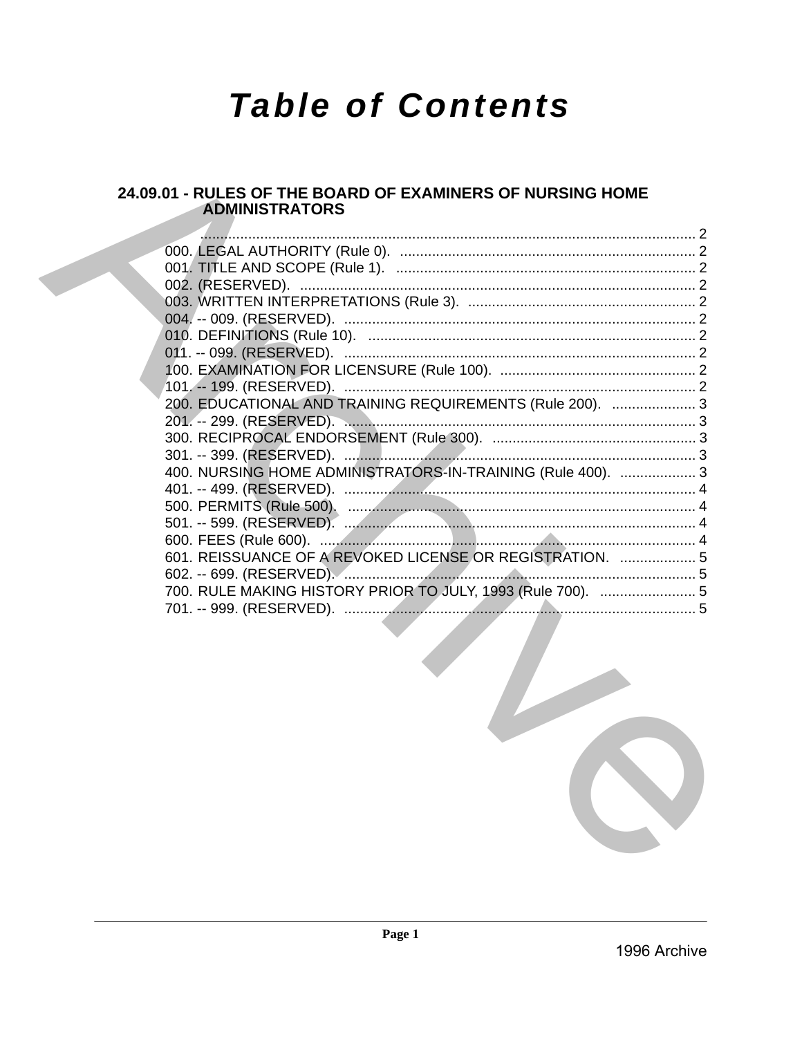# **Table of Contents**

# 24.09.01 - RULES OF THE BOARD OF EXAMINERS OF NURSING HOME **ADMINISTRATORS**

| 201. -- 299. (RESERVED).                                    |                                                           |
|-------------------------------------------------------------|-----------------------------------------------------------|
|                                                             |                                                           |
|                                                             |                                                           |
| 400. NURSING HOME ADMINISTRATORS-IN-TRAINING (Rule 400).  3 |                                                           |
|                                                             |                                                           |
|                                                             |                                                           |
|                                                             |                                                           |
|                                                             |                                                           |
| 601. REISSUANCE OF A REVOKED LICENSE OR REGISTRATION.  5    |                                                           |
|                                                             |                                                           |
| 700. RULE MAKING HISTORY PRIOR TO JULY, 1993 (Rule 700).  5 |                                                           |
|                                                             |                                                           |
|                                                             | 200. EDUCATIONAL AND TRAINING REQUIREMENTS (Rule 200).  3 |

 $\epsilon$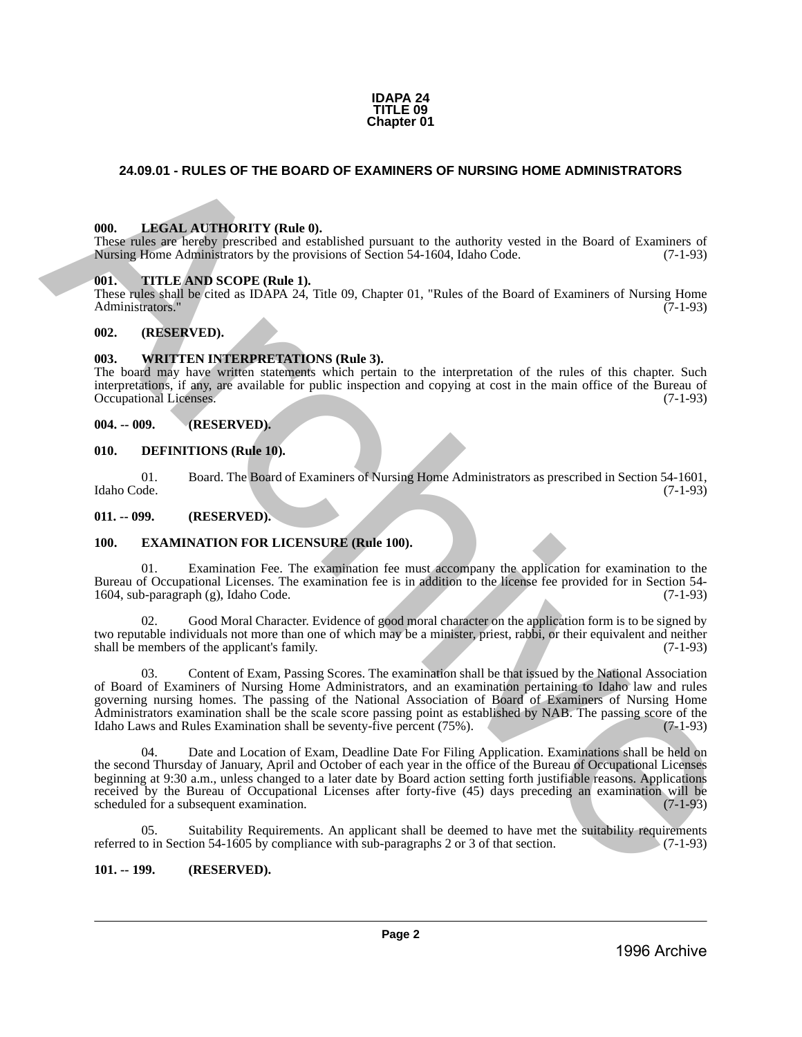#### **IDAPA 24 TITLE 09 Chapter 01**

# <span id="page-1-1"></span><span id="page-1-0"></span>**24.09.01 - RULES OF THE BOARD OF EXAMINERS OF NURSING HOME ADMINISTRATORS**

# <span id="page-1-2"></span>**000. LEGAL AUTHORITY (Rule 0).**

These rules are hereby prescribed and established pursuant to the authority vested in the Board of Examiners of Nursing Home Administrators by the provisions of Section 54-1604, Idaho Code. (7-1-93)

#### <span id="page-1-3"></span>**001. TITLE AND SCOPE (Rule 1).**

These rules shall be cited as IDAPA 24, Title 09, Chapter 01, "Rules of the Board of Examiners of Nursing Home Administrators." (7-1-93)

#### <span id="page-1-4"></span>**002. (RESERVED).**

#### <span id="page-1-5"></span>**003. WRITTEN INTERPRETATIONS (Rule 3).**

The board may have written statements which pertain to the interpretation of the rules of this chapter. Such interpretations, if any, are available for public inspection and copying at cost in the main office of the Bureau of Occupational Licenses.

#### <span id="page-1-6"></span>**004. -- 009. (RESERVED).**

#### <span id="page-1-7"></span>**010. DEFINITIONS (Rule 10).**

01. Board. The Board of Examiners of Nursing Home Administrators as prescribed in Section 54-1601, Idaho Code. (7-1-93)

<span id="page-1-8"></span>**011. -- 099. (RESERVED).**

#### <span id="page-1-9"></span>**100. EXAMINATION FOR LICENSURE (Rule 100).**

01. Examination Fee. The examination fee must accompany the application for examination to the Bureau of Occupational Licenses. The examination fee is in addition to the license fee provided for in Section 54-<br>1604, sub-paragraph (g), Idaho Code. (7-1-93) 1604, sub-paragraph  $(g)$ , Idaho Code.

Good Moral Character. Evidence of good moral character on the application form is to be signed by two reputable individuals not more than one of which may be a minister, priest, rabbi, or their equivalent and neither shall be members of the applicant's family. (7-1-93)

03. Content of Exam, Passing Scores. The examination shall be that issued by the National Association of Board of Examiners of Nursing Home Administrators, and an examination pertaining to Idaho law and rules governing nursing homes. The passing of the National Association of Board of Examiners of Nursing Home Administrators examination shall be the scale score passing point as established by NAB. The passing score of the Idaho Laws and Rules Examination shall be seventy-five percent (75%). Idaho Laws and Rules Examination shall be seventy-five percent  $(75\%)$ . **24.69.01 • RULES OF THE BOARD OF EXAMINERS OF NURSING HOME ADMINISTRATORS<br>
1996.** LEVEN ATTITUDENTY (Buth the comparison to the unbetter years of the Board of Examines of Nursing Home Administrators of Nursing Home Admin

04. Date and Location of Exam, Deadline Date For Filing Application. Examinations shall be held on the second Thursday of January, April and October of each year in the office of the Bureau of Occupational Licenses beginning at 9:30 a.m., unless changed to a later date by Board action setting forth justifiable reasons. Applications received by the Bureau of Occupational Licenses after forty-five (45) days preceding an examination will be scheduled for a subsequent examination. (7-1-93) scheduled for a subsequent examination.

05. Suitability Requirements. An applicant shall be deemed to have met the suitability requirements referred to in Section 54-1605 by compliance with sub-paragraphs 2 or 3 of that section. (7-1-93)

#### <span id="page-1-10"></span>**101. -- 199. (RESERVED).**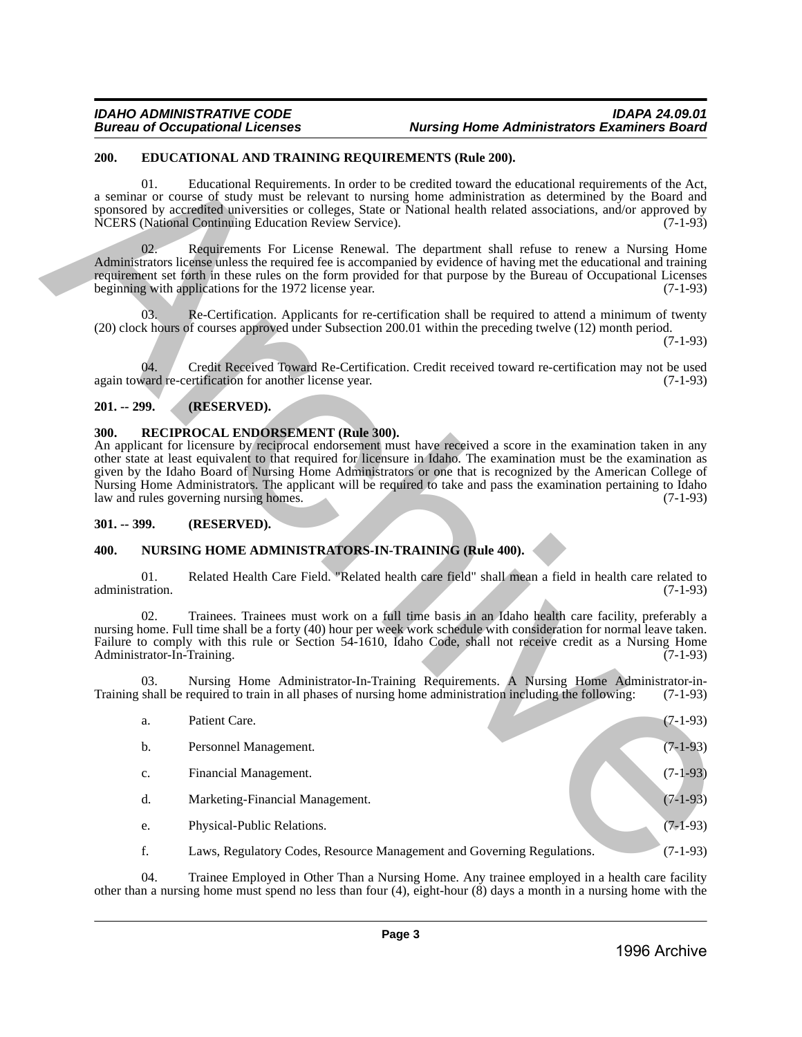# <span id="page-2-0"></span>**200. EDUCATIONAL AND TRAINING REQUIREMENTS (Rule 200).**

# <span id="page-2-1"></span>**201. -- 299. (RESERVED).**

# <span id="page-2-2"></span>**300. RECIPROCAL ENDORSEMENT (Rule 300).**

# <span id="page-2-3"></span>**301. -- 399. (RESERVED).**

# <span id="page-2-4"></span>**400. NURSING HOME ADMINISTRATORS-IN-TRAINING (Rule 400).**

|                                                                                                                                                                                                                                                                                                                                                                                                                                                                                                                                                                    | 200.            |                | EDUCATIONAL AND TRAINING REQUIREMENTS (Rule 200).                                                                                                                                                                                                                                                                                                                                                |            |  |
|--------------------------------------------------------------------------------------------------------------------------------------------------------------------------------------------------------------------------------------------------------------------------------------------------------------------------------------------------------------------------------------------------------------------------------------------------------------------------------------------------------------------------------------------------------------------|-----------------|----------------|--------------------------------------------------------------------------------------------------------------------------------------------------------------------------------------------------------------------------------------------------------------------------------------------------------------------------------------------------------------------------------------------------|------------|--|
|                                                                                                                                                                                                                                                                                                                                                                                                                                                                                                                                                                    |                 | 01.            | Educational Requirements. In order to be credited toward the educational requirements of the Act,<br>a seminar or course of study must be relevant to nursing home administration as determined by the Board and<br>sponsored by accredited universities or colleges, State or National health related associations, and/or approved by<br>NCERS (National Continuing Education Review Service). | $(7-1-93)$ |  |
|                                                                                                                                                                                                                                                                                                                                                                                                                                                                                                                                                                    |                 | 02.            | Requirements For License Renewal. The department shall refuse to renew a Nursing Home<br>Administrators license unless the required fee is accompanied by evidence of having met the educational and training<br>requirement set forth in these rules on the form provided for that purpose by the Bureau of Occupational Licenses<br>beginning with applications for the 1972 license year.     | $(7-1-93)$ |  |
|                                                                                                                                                                                                                                                                                                                                                                                                                                                                                                                                                                    |                 | 03.            | Re-Certification. Applicants for re-certification shall be required to attend a minimum of twenty<br>(20) clock hours of courses approved under Subsection 200.01 within the preceding twelve (12) month period.                                                                                                                                                                                 | $(7-1-93)$ |  |
|                                                                                                                                                                                                                                                                                                                                                                                                                                                                                                                                                                    |                 | 04.            | Credit Received Toward Re-Certification. Credit received toward re-certification may not be used<br>again toward re-certification for another license year.                                                                                                                                                                                                                                      | $(7-1-93)$ |  |
|                                                                                                                                                                                                                                                                                                                                                                                                                                                                                                                                                                    | $201. - 299.$   |                | (RESERVED).                                                                                                                                                                                                                                                                                                                                                                                      |            |  |
| RECIPROCAL ENDORSEMENT (Rule 300).<br>300.<br>An applicant for licensure by reciprocal endorsement must have received a score in the examination taken in any<br>other state at least equivalent to that required for licensure in Idaho. The examination must be the examination as<br>given by the Idaho Board of Nursing Home Administrators or one that is recognized by the American College of<br>Nursing Home Administrators. The applicant will be required to take and pass the examination pertaining to Idaho<br>law and rules governing nursing homes. |                 |                |                                                                                                                                                                                                                                                                                                                                                                                                  |            |  |
|                                                                                                                                                                                                                                                                                                                                                                                                                                                                                                                                                                    | $301. - 399.$   |                | (RESERVED).                                                                                                                                                                                                                                                                                                                                                                                      |            |  |
|                                                                                                                                                                                                                                                                                                                                                                                                                                                                                                                                                                    | 400.            |                | NURSING HOME ADMINISTRATORS-IN-TRAINING (Rule 400).                                                                                                                                                                                                                                                                                                                                              |            |  |
|                                                                                                                                                                                                                                                                                                                                                                                                                                                                                                                                                                    | administration. | 01.            | Related Health Care Field. "Related health care field" shall mean a field in health care related to                                                                                                                                                                                                                                                                                              | $(7-1-93)$ |  |
|                                                                                                                                                                                                                                                                                                                                                                                                                                                                                                                                                                    |                 | 02.            | Trainees. Trainees must work on a full time basis in an Idaho health care facility, preferably a<br>nursing home. Full time shall be a forty (40) hour per week work schedule with consideration for normal leave taken.<br>Failure to comply with this rule or Section 54-1610, Idaho Code, shall not receive credit as a Nursing Home<br>Administrator-In-Training.                            | $(7-1-93)$ |  |
|                                                                                                                                                                                                                                                                                                                                                                                                                                                                                                                                                                    |                 | 03.            | Nursing Home Administrator-In-Training Requirements. A Nursing Home Administrator-in-<br>Training shall be required to train in all phases of nursing home administration including the following:                                                                                                                                                                                               | $(7-1-93)$ |  |
|                                                                                                                                                                                                                                                                                                                                                                                                                                                                                                                                                                    |                 | a.             | Patient Care.                                                                                                                                                                                                                                                                                                                                                                                    | $(7-1-93)$ |  |
|                                                                                                                                                                                                                                                                                                                                                                                                                                                                                                                                                                    |                 | b.             | Personnel Management.                                                                                                                                                                                                                                                                                                                                                                            | $(7-1-93)$ |  |
|                                                                                                                                                                                                                                                                                                                                                                                                                                                                                                                                                                    |                 | $\mathbf{c}$ . | Financial Management.                                                                                                                                                                                                                                                                                                                                                                            | $(7-1-93)$ |  |
|                                                                                                                                                                                                                                                                                                                                                                                                                                                                                                                                                                    |                 | d.             | Marketing-Financial Management.                                                                                                                                                                                                                                                                                                                                                                  | $(7-1-93)$ |  |
|                                                                                                                                                                                                                                                                                                                                                                                                                                                                                                                                                                    |                 | e.             | Physical-Public Relations.                                                                                                                                                                                                                                                                                                                                                                       | $(7-1-93)$ |  |
|                                                                                                                                                                                                                                                                                                                                                                                                                                                                                                                                                                    |                 | f.             | Laws, Regulatory Codes, Resource Management and Governing Regulations.                                                                                                                                                                                                                                                                                                                           | $(7-1-93)$ |  |
|                                                                                                                                                                                                                                                                                                                                                                                                                                                                                                                                                                    |                 |                |                                                                                                                                                                                                                                                                                                                                                                                                  |            |  |

04. Trainee Employed in Other Than a Nursing Home. Any trainee employed in a health care facility other than a nursing home must spend no less than four (4), eight-hour (8) days a month in a nursing home with the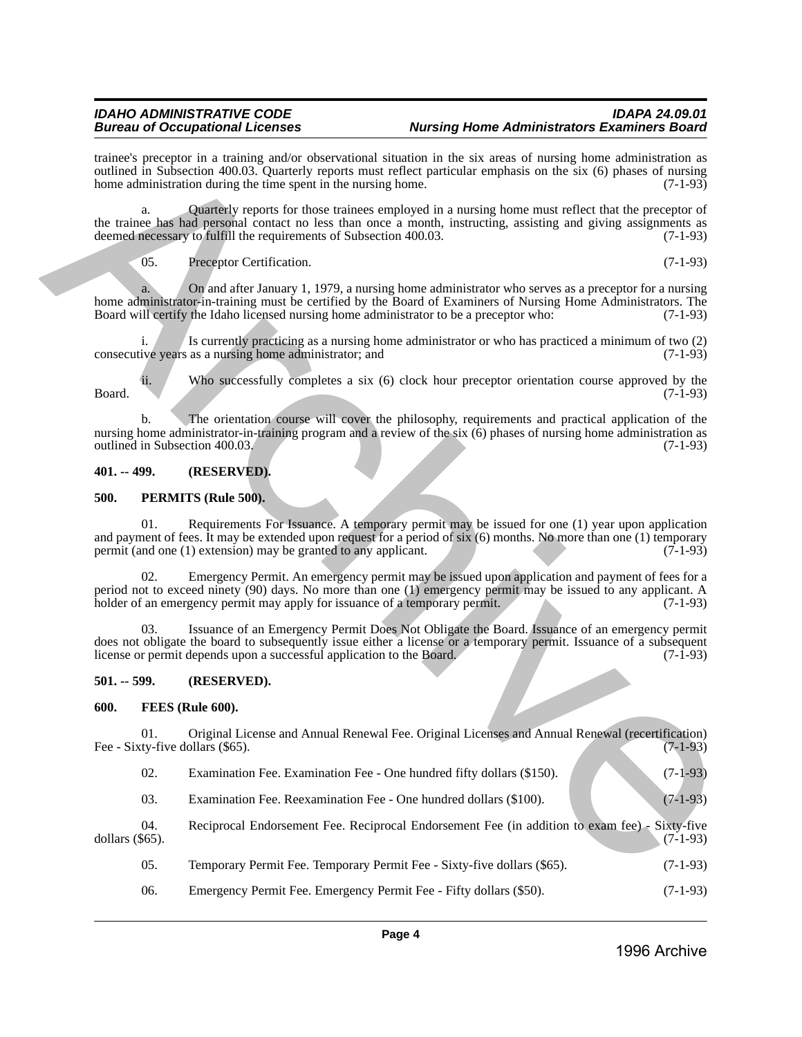# *IDAHO ADMINISTRATIVE CODE IDAPA 24.09.01 Aursing Home Administrators Examiners Board*

trainee's preceptor in a training and/or observational situation in the six areas of nursing home administration as outlined in Subsection 400.03. Quarterly reports must reflect particular emphasis on the six (6) phases of nursing home administration during the time spent in the nursing home. (7-1-93) home administration during the time spent in the nursing home.

a. Quarterly reports for those trainees employed in a nursing home must reflect that the preceptor of the trainee has had personal contact no less than once a month, instructing, assisting and giving assignments as deemed necessary to fulfill the requirements of Subsection 400.03. (7-1-93) deemed necessary to fulfill the requirements of Subsection 400.03.

05. Preceptor Certification. (7-1-93)

a. On and after January 1, 1979, a nursing home administrator who serves as a preceptor for a nursing home administrator-in-training must be certified by the Board of Examiners of Nursing Home Administrators. The<br>Board will certify the Idaho licensed nursing home administrator to be a preceptor who: (7-1-93) Board will certify the Idaho licensed nursing home administrator to be a preceptor who:

i. Is currently practicing as a nursing home administrator or who has practiced a minimum of two (2) ive years as a nursing home administrator; and (7-1-93) consecutive years as a nursing home administrator; and

ii. Who successfully completes a six (6) clock hour preceptor orientation course approved by the Board. (7-1-93)

b. The orientation course will cover the philosophy, requirements and practical application of the nursing home administrator-in-training program and a review of the six  $(6)$  phases of nursing home administration as outlined in Subsection 400.03.  $(7-1-93)$ outlined in Subsection 400.03.

# <span id="page-3-0"></span>**401. -- 499. (RESERVED).**

#### <span id="page-3-1"></span>**500. PERMITS (Rule 500).**

01. Requirements For Issuance. A temporary permit may be issued for one (1) year upon application and payment of fees. It may be extended upon request for a period of six (6) months. No more than one (1) temporary permit (and one (1) extension) may be granted to any applicant. (7-1-93) permit (and one  $(1)$  extension) may be granted to any applicant. Final constraints in a matrix pather observational sharistic in the skates of matrix particles and constraints in the skates of matrix (31.49)<br>
The Sharistic Background Constraints of the transfer particle product and the

Emergency Permit. An emergency permit may be issued upon application and payment of fees for a period not to exceed ninety (90) days. No more than one (1) emergency permit may be issued to any applicant. A holder of an emergency permit may apply for issuance of a temporary permit. (7-1-93) holder of an emergency permit may apply for issuance of a temporary permit.

03. Issuance of an Emergency Permit Does Not Obligate the Board. Issuance of an emergency permit does not obligate the board to subsequently issue either a license or a temporary permit. Issuance of a subsequent license or permit depends upon a successful application to the Board. (7-1-93)

# <span id="page-3-2"></span>**501. -- 599. (RESERVED).**

#### <span id="page-3-3"></span>**600. FEES (Rule 600).**

01. Original License and Annual Renewal Fee. Original Licenses and Annual Renewal (recertification)<br>(7-1-93) Fee - Sixty-five dollars (\$65).

| 02. | Examination Fee. Examination Fee - One hundred fifty dollars (\$150). |  |  |  | $(7-1-93)$ |  |
|-----|-----------------------------------------------------------------------|--|--|--|------------|--|
|-----|-----------------------------------------------------------------------|--|--|--|------------|--|

03. Examination Fee. Reexamination Fee - One hundred dollars (\$100). (7-1-93)

04. Reciprocal Endorsement Fee. Reciprocal Endorsement Fee (in addition to exam fee) - Sixty-five dollars (\$65). dollars (\$65). (7-1-93)

- 05. Temporary Permit Fee. Temporary Permit Fee Sixty-five dollars (\$65). (7-1-93)
- 06. Emergency Permit Fee. Emergency Permit Fee Fifty dollars (\$50). (7-1-93)